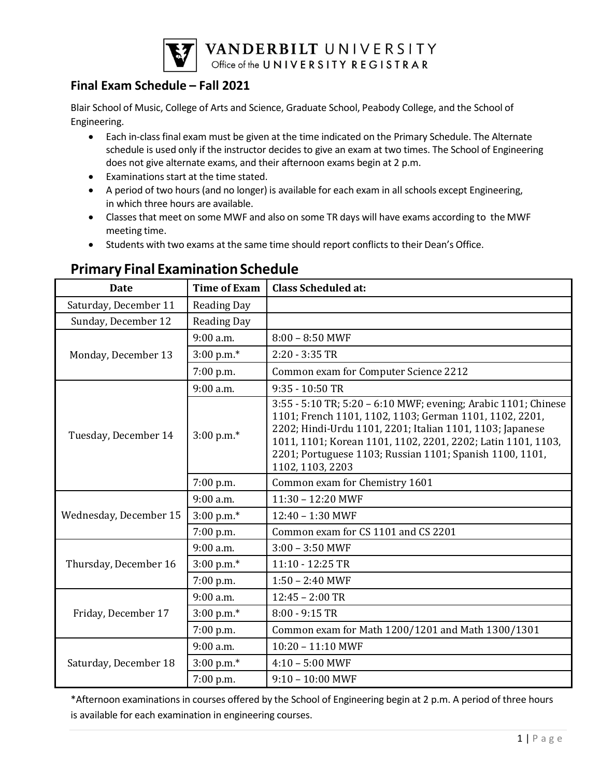

## **Final Exam Schedule – Fall 2021**

Blair School of Music, College of Arts and Science, Graduate School, Peabody College, and the School of Engineering.

- Each in-class final exam must be given at the time indicated on the Primary Schedule. The Alternate schedule is used only if the instructor decides to give an exam at two times. The School of Engineering does not give alternate exams, and their afternoon exams begin at 2 p.m.
- Examinations start at the time stated.
- A period of two hours (and no longer) is available for each exam in all schools except Engineering, in which three hours are available.
- Classes that meet on some MWF and also on some TR days will have exams according to the MWF meeting time.
- Students with two exams at the same time should report conflicts to their Dean's Office.

| <b>Date</b>            | <b>Time of Exam</b> | <b>Class Scheduled at:</b>                                                                                                                                                                                                                                                                                                             |
|------------------------|---------------------|----------------------------------------------------------------------------------------------------------------------------------------------------------------------------------------------------------------------------------------------------------------------------------------------------------------------------------------|
| Saturday, December 11  | <b>Reading Day</b>  |                                                                                                                                                                                                                                                                                                                                        |
| Sunday, December 12    | Reading Day         |                                                                                                                                                                                                                                                                                                                                        |
| Monday, December 13    | 9:00 a.m.           | $8:00 - 8:50$ MWF                                                                                                                                                                                                                                                                                                                      |
|                        | 3:00 p.m.*          | $2:20 - 3:35$ TR                                                                                                                                                                                                                                                                                                                       |
|                        | 7:00 p.m.           | Common exam for Computer Science 2212                                                                                                                                                                                                                                                                                                  |
| Tuesday, December 14   | 9:00 a.m.           | $9:35 - 10:50$ TR                                                                                                                                                                                                                                                                                                                      |
|                        | $3:00$ p.m.*        | 3:55 - 5:10 TR; 5:20 - 6:10 MWF; evening; Arabic 1101; Chinese<br>1101; French 1101, 1102, 1103; German 1101, 1102, 2201,<br>2202; Hindi-Urdu 1101, 2201; Italian 1101, 1103; Japanese<br>1011, 1101; Korean 1101, 1102, 2201, 2202; Latin 1101, 1103,<br>2201; Portuguese 1103; Russian 1101; Spanish 1100, 1101,<br>1102, 1103, 2203 |
|                        | 7:00 p.m.           | Common exam for Chemistry 1601                                                                                                                                                                                                                                                                                                         |
| Wednesday, December 15 | 9:00 a.m.           | $11:30 - 12:20$ MWF                                                                                                                                                                                                                                                                                                                    |
|                        | $3:00$ p.m.*        | $12:40 - 1:30$ MWF                                                                                                                                                                                                                                                                                                                     |
|                        | 7:00 p.m.           | Common exam for CS 1101 and CS 2201                                                                                                                                                                                                                                                                                                    |
| Thursday, December 16  | $9:00$ a.m.         | $3:00 - 3:50$ MWF                                                                                                                                                                                                                                                                                                                      |
|                        | $3:00$ p.m.*        | 11:10 - 12:25 TR                                                                                                                                                                                                                                                                                                                       |
|                        | 7:00 p.m.           | $1:50 - 2:40$ MWF                                                                                                                                                                                                                                                                                                                      |
| Friday, December 17    | 9:00 a.m.           | $12:45 - 2:00$ TR                                                                                                                                                                                                                                                                                                                      |
|                        | 3:00 p.m.*          | $8:00 - 9:15$ TR                                                                                                                                                                                                                                                                                                                       |
|                        | 7:00 p.m.           | Common exam for Math 1200/1201 and Math 1300/1301                                                                                                                                                                                                                                                                                      |
| Saturday, December 18  | 9:00 a.m.           | $10:20 - 11:10$ MWF                                                                                                                                                                                                                                                                                                                    |
|                        | $3:00$ p.m.*        | $4:10 - 5:00$ MWF                                                                                                                                                                                                                                                                                                                      |
|                        | 7:00 p.m.           | $9:10 - 10:00$ MWF                                                                                                                                                                                                                                                                                                                     |

## **Primary Final ExaminationSchedule**

\*Afternoon examinations in courses offered by the School of Engineering begin at 2 p.m. A period of three hours is available for each examination in engineering courses.